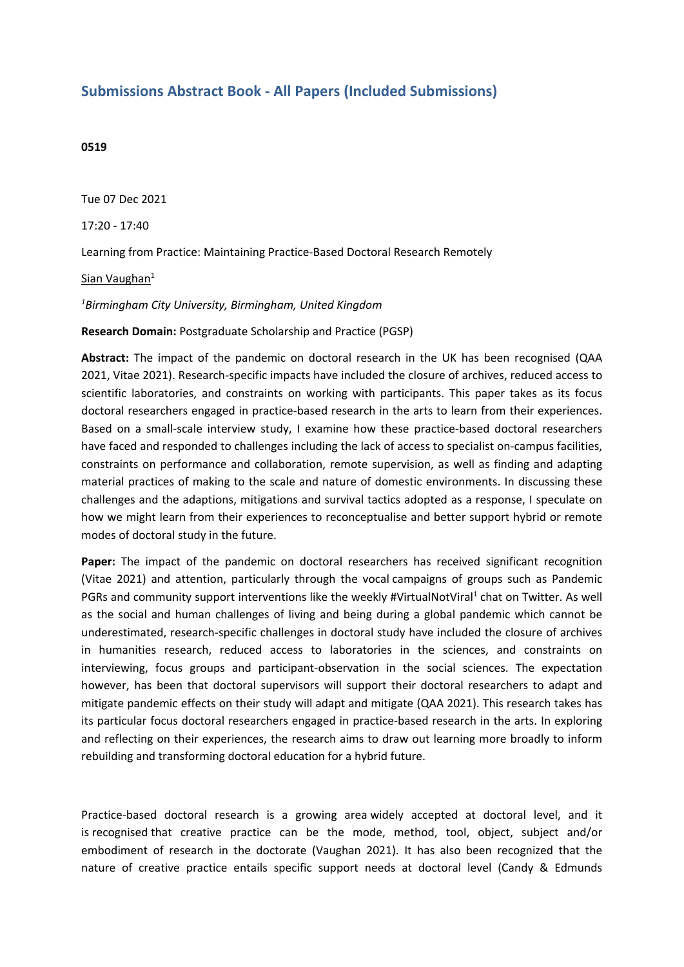## **Submissions Abstract Book - All Papers (Included Submissions)**

## **0519**

Tue 07 Dec 2021

17:20 - 17:40

Learning from Practice: Maintaining Practice-Based Doctoral Research Remotely

Sian Vaughan<sup>1</sup>

## *1 Birmingham City University, Birmingham, United Kingdom*

**Research Domain:** Postgraduate Scholarship and Practice (PGSP)

**Abstract:** The impact of the pandemic on doctoral research in the UK has been recognised (QAA 2021, Vitae 2021). Research-specific impacts have included the closure of archives, reduced access to scientific laboratories, and constraints on working with participants. This paper takes as its focus doctoral researchers engaged in practice-based research in the arts to learn from their experiences. Based on <sup>a</sup> small-scale interview study, I examine how these practice-based doctoral researchers have faced and responded to challenges including the lack of access to specialist on-campus facilities, constraints on performance and collaboration, remote supervision, as well as finding and adapting material practices of making to the scale and nature of domestic environments. In discussing these challenges and the adaptions, mitigations and survival tactics adopted as <sup>a</sup> response, I speculate on how we might learn from their experiences to reconceptualise and better support hybrid or remote modes of doctoral study in the future.

**Paper:** The impact of the pandemic on doctoral researchers has received significant recognition (Vitae 2021) and attention, particularly through the vocal campaigns of groups such as Pandemic PGRs and community support interventions like the weekly #VirtualNotViral<sup>1</sup> chat on Twitter. As well as the social and human challenges of living and being during <sup>a</sup> global pandemic which cannot be underestimated, research-specific challenges in doctoral study have included the closure of archives in humanities research, reduced access to laboratories in the sciences, and constraints on interviewing, focus groups and participant-observation in the social sciences. The expectation however, has been that doctoral supervisors will support their doctoral researchers to adapt and mitigate pandemic effects on their study will adapt and mitigate (QAA 2021). This research takes has its particular focus doctoral researchers engaged in practice-based research in the arts. In exploring and reflecting on their experiences, the research aims to draw out learning more broadly to inform rebuilding and transforming doctoral education for <sup>a</sup> hybrid future.

Practice-based doctoral research is <sup>a</sup> growing area widely accepted at doctoral level, and it is recognised that creative practice can be the mode, method, tool, object, subject and/or embodiment of research in the doctorate (Vaughan 2021). It has also been recognized that the nature of creative practice entails specific support needs at doctoral level (Candy & Edmunds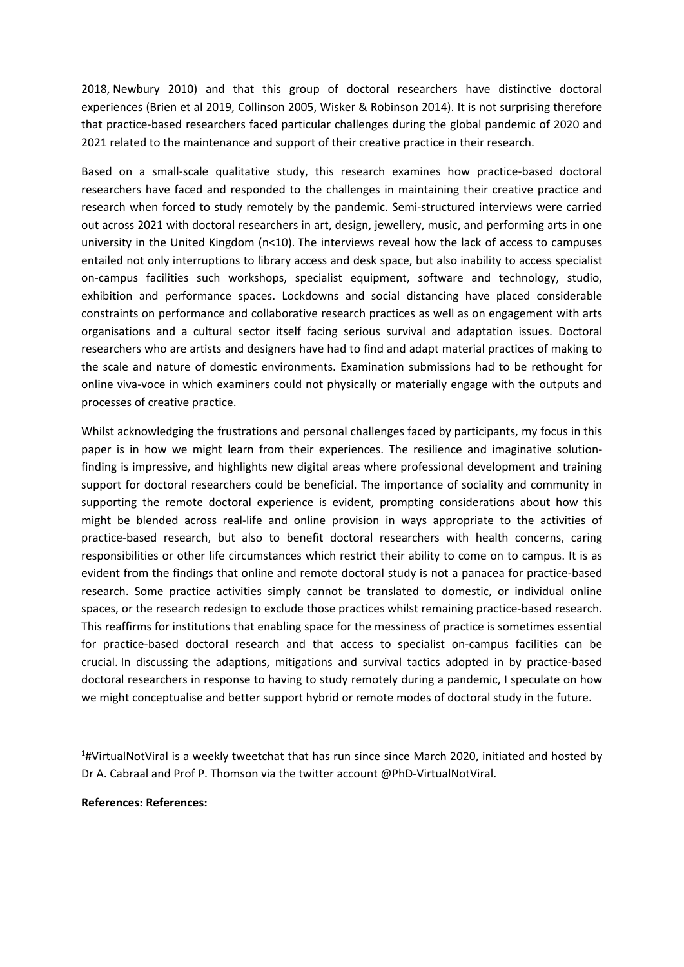2018, Newbury 2010) and that this group of doctoral researchers have distinctive doctoral experiences (Brien et al 2019, Collinson 2005, Wisker & Robinson 2014). It is not surprising therefore that practice-based researchers faced particular challenges during the global pandemic of 2020 and 2021 related to the maintenance and support of their creative practice in their research.

Based on <sup>a</sup> small-scale qualitative study, this research examines how practice-based doctoral researchers have faced and responded to the challenges in maintaining their creative practice and research when forced to study remotely by the pandemic. Semi-structured interviews were carried out across 2021 with doctoral researchers in art, design, jewellery, music, and performing arts in one university in the United Kingdom (n<10). The interviews reveal how the lack of access to campuses entailed not only interruptions to library access and desk space, but also inability to access specialist on-campus facilities such workshops, specialist equipment, software and technology, studio, exhibition and performance spaces. Lockdowns and social distancing have placed considerable constraints on performance and collaborative research practices as well as on engagement with arts organisations and <sup>a</sup> cultural sector itself facing serious survival and adaptation issues. Doctoral researchers who are artists and designers have had to find and adapt material practices of making to the scale and nature of domestic environments. Examination submissions had to be rethought for online viva-voce in which examiners could not physically or materially engage with the outputs and processes of creative practice.

Whilst acknowledging the frustrations and personal challenges faced by participants, my focus in this paper is in how we might learn from their experiences. The resilience and imaginative solutionfinding is impressive, and highlights new digital areas where professional development and training support for doctoral researchers could be beneficial. The importance of sociality and community in supporting the remote doctoral experience is evident, prompting considerations about how this might be blended across real-life and online provision in ways appropriate to the activities of practice-based research, but also to benefit doctoral researchers with health concerns, caring responsibilities or other life circumstances which restrict their ability to come on to campus. It is as evident from the findings that online and remote doctoral study is not <sup>a</sup> panacea for practice-based research. Some practice activities simply cannot be translated to domestic, or individual online spaces, or the research redesign to exclude those practices whilst remaining practice-based research. This reaffirms for institutions that enabling space for the messiness of practice is sometimes essential for practice-based doctoral research and that access to specialist on-campus facilities can be crucial. In discussing the adaptions, mitigations and survival tactics adopted in by practice-based doctoral researchers in response to having to study remotely during <sup>a</sup> pandemic, I speculate on how we might conceptualise and better support hybrid or remote modes of doctoral study in the future.

<sup>1</sup>#VirtualNotViral is a weekly tweetchat that has run since since March 2020, initiated and hosted by Dr A. Cabraal and Prof P. Thomson via the twitter account @PhD-VirtualNotViral.

## **References: References:**